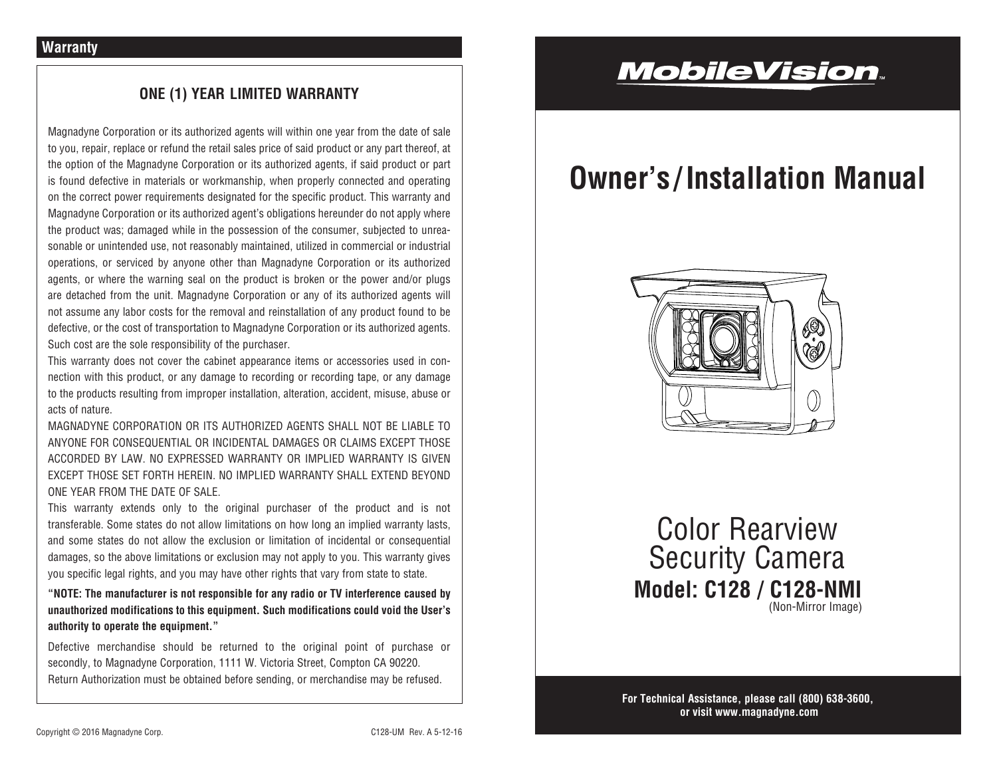## **ONE (1) YEAR LIMITED WARRANTY**

Magnadyne Corporation or its authorized agents will within one year from the date of sale to you, repair, replace or refund the retail sales price of said product or any part thereof, at the option of the Magnadyne Corporation or its authorized agents, if said product or part is found defective in materials or workmanship, when properly connected and operating on the correct power requirements designated for the specific product. This warranty and Magnadyne Corporation or its authorized agent's obligations hereunder do not apply where the product was; damaged while in the possession of the consumer, subjected to unreasonable or unintended use, not reasonably maintained, utilized in commercial or industrial operations, or serviced by anyone other than Magnadyne Corporation or its authorized agents, or where the warning seal on the product is broken or the power and/or plugs are detached from the unit. Magnadyne Corporation or any of its authorized agents will not assume any labor costs for the removal and reinstallation of any product found to be defective, or the cost of transportation to Magnadyne Corporation or its authorized agents. Such cost are the sole responsibility of the purchaser.

This warranty does not cover the cabinet appearance items or accessories used in connection with this product, or any damage to recording or recording tape, or any damage to the products resulting from improper installation, alteration, accident, misuse, abuse or acts of nature.

MAGNADYNE CORPORATION OR ITS AUTHORIZED AGENTS SHALL NOT BE LIABLE TO ANYONE FOR CONSEQUENTIAL OR INCIDENTAL DAMAGES OR CLAIMS EXCEPT THOSE ACCORDED BY LAW. NO EXPRESSED WARRANTY OR IMPLIED WARRANTY IS GIVEN EXCEPT THOSE SET FORTH HEREIN. NO IMPLIED WARRANTY SHALL EXTEND BEYOND ONE YEAR FROM THE DATE OF SALE.

This warranty extends only to the original purchaser of the product and is not transferable. Some states do not allow limitations on how long an implied warranty lasts, and some states do not allow the exclusion or limitation of incidental or consequential damages, so the above limitations or exclusion may not apply to you. This warranty gives you specific legal rights, and you may have other rights that vary from state to state.

**"NOTE: The manufacturer is not responsible for any radio or TV interference caused by unauthorized modifications to this equipment. Such modifications could void the User's authority to operate the equipment."**

Defective merchandise should be returned to the original point of purchase or secondly, to Magnadyne Corporation, 1111 W. Victoria Street, Compton CA 90220. Return Authorization must be obtained before sending, or merchandise may be refused.

## **MobileVision**.

# **Owner's / Installation Manual**



**Model: C128 / C128-NMI** Color Rearview Security Camera (Non-Mirror Image)

**For Technical Assistance, please call (800) 638-3600, or visit www.magnadyne.com**